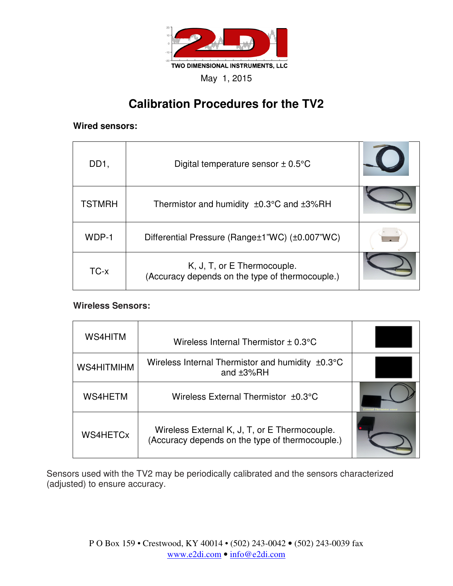

# **Calibration Procedures for the TV2**

#### **Wired sensors:**

| DD <sub>1</sub> | Digital temperature sensor $\pm$ 0.5 $\degree$ C                               |  |
|-----------------|--------------------------------------------------------------------------------|--|
| <b>TSTMRH</b>   | Thermistor and humidity $\pm 0.3^{\circ}$ C and $\pm 3\%$ RH                   |  |
| WDP-1           | Differential Pressure (Range±1"WC) (±0.007"WC)                                 |  |
| TC-x            | K, J, T, or E Thermocouple.<br>(Accuracy depends on the type of thermocouple.) |  |

#### **Wireless Sensors:**

| WS4HITM        | Wireless Internal Thermistor $\pm$ 0.3 $\degree$ C                                               |  |
|----------------|--------------------------------------------------------------------------------------------------|--|
| WS4HITMIHM     | Wireless Internal Thermistor and humidity $\pm 0.3^{\circ}$ C<br>and $±3\%RH$                    |  |
| <b>WS4HETM</b> | Wireless External Thermistor ±0.3°C                                                              |  |
| WS4HETCx       | Wireless External K, J, T, or E Thermocouple.<br>(Accuracy depends on the type of thermocouple.) |  |

Sensors used with the TV2 may be periodically calibrated and the sensors characterized (adjusted) to ensure accuracy.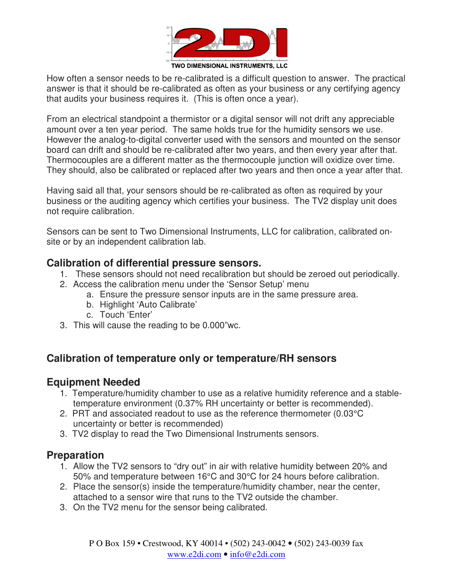

How often a sensor needs to be re-calibrated is a difficult question to answer. The practical answer is that it should be re-calibrated as often as your business or any certifying agency that audits your business requires it. (This is often once a year).

From an electrical standpoint a thermistor or a digital sensor will not drift any appreciable amount over a ten year period. The same holds true for the humidity sensors we use. However the analog-to-digital converter used with the sensors and mounted on the sensor board can drift and should be re-calibrated after two years, and then every year after that. Thermocouples are a different matter as the thermocouple junction will oxidize over time. They should, also be calibrated or replaced after two years and then once a year after that.

Having said all that, your sensors should be re-calibrated as often as required by your business or the auditing agency which certifies your business. The TV2 display unit does not require calibration.

Sensors can be sent to Two Dimensional Instruments, LLC for calibration, calibrated onsite or by an independent calibration lab.

### **Calibration of differential pressure sensors.**

- 1. These sensors should not need recalibration but should be zeroed out periodically.
- 2. Access the calibration menu under the 'Sensor Setup' menu
	- a. Ensure the pressure sensor inputs are in the same pressure area.
	- b. Highlight 'Auto Calibrate'
	- c. Touch 'Enter'
- 3. This will cause the reading to be 0.000"wc.

## **Calibration of temperature only or temperature/RH sensors**

### **Equipment Needed**

- 1. Temperature/humidity chamber to use as a relative humidity reference and a stabletemperature environment (0.37% RH uncertainty or better is recommended).
- 2. PRT and associated readout to use as the reference thermometer (0.03°C uncertainty or better is recommended)
- 3. TV2 display to read the Two Dimensional Instruments sensors.

### **Preparation**

- 1. Allow the TV2 sensors to "dry out" in air with relative humidity between 20% and 50% and temperature between 16°C and 30°C for 24 hours before calibration.
- 2. Place the sensor(s) inside the temperature/humidity chamber, near the center, attached to a sensor wire that runs to the TV2 outside the chamber.
- 3. On the TV2 menu for the sensor being calibrated.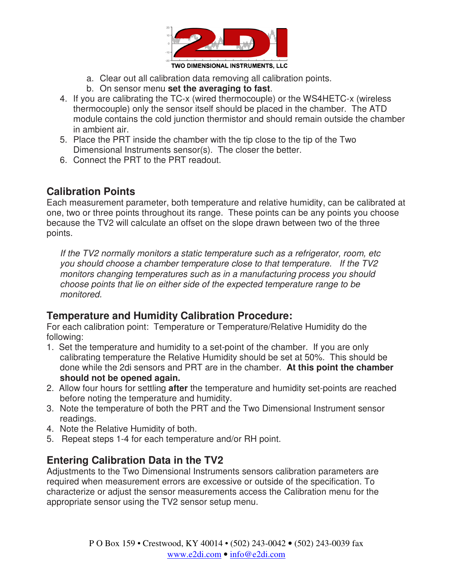

- a. Clear out all calibration data removing all calibration points.
- b. On sensor menu **set the averaging to fast**.
- 4. If you are calibrating the TC-x (wired thermocouple) or the WS4HETC-x (wireless thermocouple) only the sensor itself should be placed in the chamber. The ATD module contains the cold junction thermistor and should remain outside the chamber in ambient air.
- 5. Place the PRT inside the chamber with the tip close to the tip of the Two Dimensional Instruments sensor(s). The closer the better.
- 6. Connect the PRT to the PRT readout.

# **Calibration Points**

Each measurement parameter, both temperature and relative humidity, can be calibrated at one, two or three points throughout its range. These points can be any points you choose because the TV2 will calculate an offset on the slope drawn between two of the three points.

If the TV2 normally monitors a static temperature such as a refrigerator, room, etc you should choose a chamber temperature close to that temperature. If the TV2 monitors changing temperatures such as in a manufacturing process you should choose points that lie on either side of the expected temperature range to be monitored.

### **Temperature and Humidity Calibration Procedure:**

For each calibration point: Temperature or Temperature/Relative Humidity do the following:

- 1. Set the temperature and humidity to a set-point of the chamber. If you are only calibrating temperature the Relative Humidity should be set at 50%. This should be done while the 2di sensors and PRT are in the chamber. **At this point the chamber should not be opened again.**
- 2. Allow four hours for settling **after** the temperature and humidity set-points are reached before noting the temperature and humidity.
- 3. Note the temperature of both the PRT and the Two Dimensional Instrument sensor readings.
- 4. Note the Relative Humidity of both.
- 5. Repeat steps 1-4 for each temperature and/or RH point.

# **Entering Calibration Data in the TV2**

Adjustments to the Two Dimensional Instruments sensors calibration parameters are required when measurement errors are excessive or outside of the specification. To characterize or adjust the sensor measurements access the Calibration menu for the appropriate sensor using the TV2 sensor setup menu.